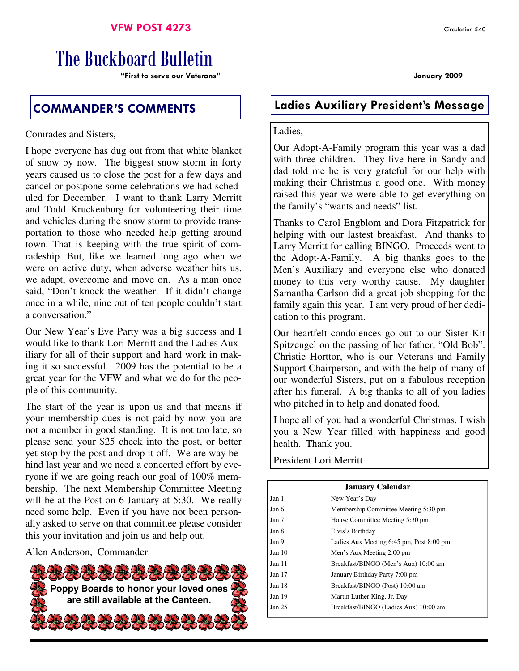### **VFW POST 4273** Circulation 540

# The Buckboard Bulletin

"First to serve our Veterans" January 2009

Comrades and Sisters,

I hope everyone has dug out from that white blanket of snow by now. The biggest snow storm in forty years caused us to close the post for a few days and cancel or postpone some celebrations we had scheduled for December. I want to thank Larry Merritt and Todd Kruckenburg for volunteering their time and vehicles during the snow storm to provide transportation to those who needed help getting around town. That is keeping with the true spirit of comradeship. But, like we learned long ago when we were on active duty, when adverse weather hits us, we adapt, overcome and move on. As a man once said, "Don't knock the weather. If it didn't change once in a while, nine out of ten people couldn't start a conversation."

Our New Year's Eve Party was a big success and I would like to thank Lori Merritt and the Ladies Auxiliary for all of their support and hard work in making it so successful. 2009 has the potential to be a great year for the VFW and what we do for the people of this community.

The start of the year is upon us and that means if your membership dues is not paid by now you are not a member in good standing. It is not too late, so please send your \$25 check into the post, or better yet stop by the post and drop it off. We are way behind last year and we need a concerted effort by everyone if we are going reach our goal of 100% membership. The next Membership Committee Meeting will be at the Post on 6 January at 5:30. We really need some help. Even if you have not been personally asked to serve on that committee please consider this your invitation and join us and help out.

Allen Anderson, Commander



## COMMANDER'S COMMENTS Ladies Auxiliary President's Message

### Ladies,

Our Adopt-A-Family program this year was a dad with three children. They live here in Sandy and dad told me he is very grateful for our help with making their Christmas a good one. With money raised this year we were able to get everything on the family's "wants and needs" list.

Thanks to Carol Engblom and Dora Fitzpatrick for helping with our lastest breakfast. And thanks to Larry Merritt for calling BINGO. Proceeds went to the Adopt-A-Family. A big thanks goes to the Men's Auxiliary and everyone else who donated money to this very worthy cause. My daughter Samantha Carlson did a great job shopping for the family again this year. I am very proud of her dedication to this program.

Our heartfelt condolences go out to our Sister Kit Spitzengel on the passing of her father, "Old Bob". Christie Horttor, who is our Veterans and Family Support Chairperson, and with the help of many of our wonderful Sisters, put on a fabulous reception after his funeral. A big thanks to all of you ladies who pitched in to help and donated food.

I hope all of you had a wonderful Christmas. I wish you a New Year filled with happiness and good health. Thank you.

President Lori Merritt

| <b>January Calendar</b> |                                          |  |  |  |
|-------------------------|------------------------------------------|--|--|--|
| Jan 1                   | New Year's Day                           |  |  |  |
| Jan 6                   | Membership Committee Meeting 5:30 pm     |  |  |  |
| Jan 7                   | House Committee Meeting 5:30 pm          |  |  |  |
| Jan 8                   | Elvis's Birthday                         |  |  |  |
| Jan 9                   | Ladies Aux Meeting 6:45 pm, Post 8:00 pm |  |  |  |
| Jan 10                  | Men's Aux Meeting 2:00 pm                |  |  |  |
| Jan 11                  | Breakfast/BINGO (Men's Aux) 10:00 am     |  |  |  |
| Jan $17$                | January Birthday Party 7:00 pm           |  |  |  |
| Jan 18                  | Breakfast/BINGO (Post) 10:00 am          |  |  |  |
| Jan 19                  | Martin Luther King, Jr. Day              |  |  |  |
| Jan 25                  | Breakfast/BINGO (Ladies Aux) 10:00 am    |  |  |  |
|                         |                                          |  |  |  |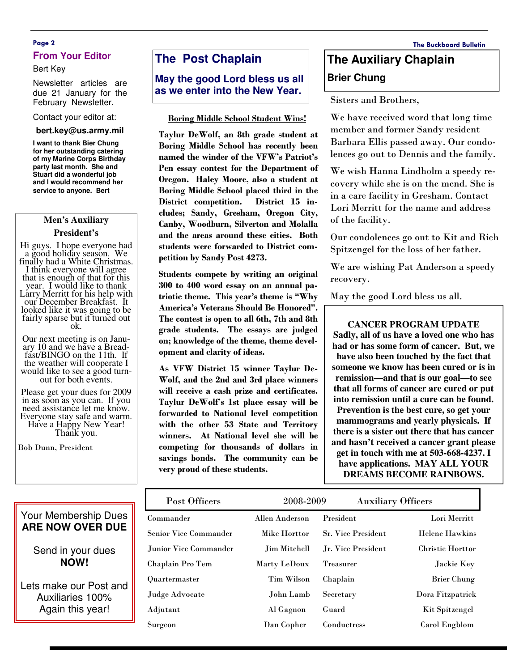### Page 2 The Buckboard Bulletin **From Your Editor**

#### Bert Key

Newsletter articles are due 21 January for the February Newsletter.

#### Contact your editor at:

#### **bert.key@us.army.mil**

**I want to thank Bier Chung for her outstanding catering of my Marine Corps Birthday party last month. She and Stuart did a wonderful job and I would recommend her service to anyone. Bert** 

#### **Men's Auxiliary**

#### **President's**

Hi guys. I hope everyone had a good holiday season. We finally had a White Christmas. I think everyone will agree that is enough of that for this year. I would like to thank Larry Merritt for his help with our December Breakfast. It looked like it was going to be fairly sparse but it turned out ok.

Our next meeting is on January 10 and we have a Breadfast/BINGO on the 11th. If the weather will cooperate I would like to see a good turnout for both events.

Please get your dues for 2009 in as soon as you can. If you need assistance let me know. Everyone stay safe and warm. Have a Happy New Year! Thank you.

Bob Dunn, President

### **The Post Chaplain**

**May the good Lord bless us all as we enter into the New Year.** 

#### Boring Middle School Student Wins!

Taylur DeWolf, an 8th grade student at Boring Middle School has recently been named the winder of the VFW's Patriot's Pen essay contest for the Department of Oregon. Haley Moore, also a student at Boring Middle School placed third in the District competition. District 15 includes; Sandy, Gresham, Oregon City, Canby, Woodburn, Silverton and Molalla and the areas around these cities. Both students were forwarded to District competition by Sandy Post 4273.

Students compete by writing an original 300 to 400 word essay on an annual patriotic theme. This year's theme is "Why America's Veterans Should Be Honored". The contest is open to all 6th, 7th and 8th grade students. The essays are judged on; knowledge of the theme, theme development and clarity of ideas.

As VFW District 15 winner Taylur De-Wolf, and the 2nd and 3rd place winners will receive a cash prize and certificates. Taylur DeWolf's 1st place essay will be forwarded to National level competition with the other 53 State and Territory winners. At National level she will be competing for thousands of dollars in savings bonds. The community can be very proud of these students.

## **The Auxiliary Chaplain Brier Chung**

Sisters and Brothers,

We have received word that long time member and former Sandy resident Barbara Ellis passed away. Our condolences go out to Dennis and the family.

We wish Hanna Lindholm a speedy recovery while she is on the mend. She is in a care facility in Gresham. Contact Lori Merritt for the name and address of the facility.

Our condolences go out to Kit and Rich Spitzengel for the loss of her father.

We are wishing Pat Anderson a speedy recovery.

May the good Lord bless us all.

**CANCER PROGRAM UPDATE Sadly, all of us have a loved one who has had or has some form of cancer. But, we have also been touched by the fact that someone we know has been cured or is in remission—and that is our goal—to see that all forms of cancer are cured or put into remission until a cure can be found. Prevention is the best cure, so get your mammograms and yearly physicals. If there is a sister out there that has cancer and hasn't received a cancer grant please get in touch with me at 503-668-4237. I have applications. MAY ALL YOUR DREAMS BECOME RAINBOWS.** 

| Post Officers                | 2008-2009      |                           | <b>Auxiliary Officers</b> |  |
|------------------------------|----------------|---------------------------|---------------------------|--|
| Commander                    | Allen Anderson | President                 | Lori Merritt              |  |
| <b>Senior Vice Commander</b> | Mike Horttor   | <b>Sr. Vice President</b> | <b>Helene Hawkins</b>     |  |
| Junior Vice Commander        | Jim Mitchell   | Jr. Vice President        | <b>Christie Horttor</b>   |  |
| Chaplain Pro Tem             | Marty LeDoux   | <b>Treasurer</b>          | Jackie Key                |  |
| <b>Ouartermaster</b>         | Tim Wilson     | Chaplain                  | <b>Brier Chung</b>        |  |
| Judge Advocate               | John Lamb      | Secretary                 | Dora Fitzpatrick          |  |
| Adjutant                     | Al Gagnon      | Guard                     | Kit Spitzengel            |  |
| Surgeon                      | Dan Copher     | Conductress               | Carol Engblom             |  |

## Your Membership Dues **ARE NOW OVER DUE**

### Send in your dues **NOW!**

Lets make our Post and Auxiliaries 100% Again this year!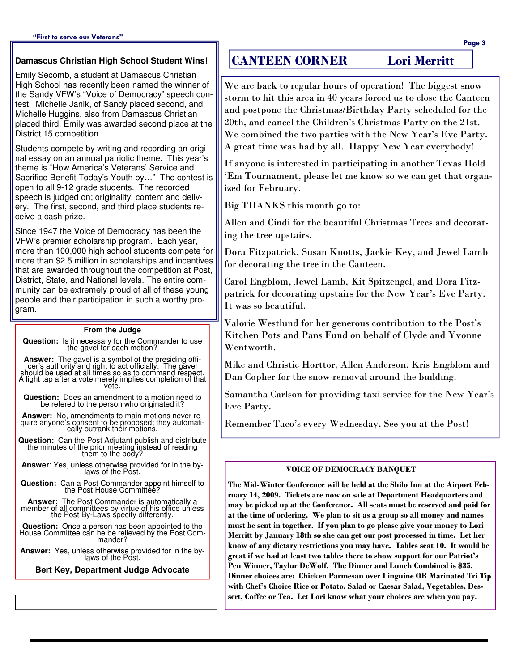#### "First to serve our Veterans"

#### **Damascus Christian High School Student Wins!**

Emily Secomb, a student at Damascus Christian High School has recently been named the winner of the Sandy VFW's "Voice of Democracy" speech contest. Michelle Janik, of Sandy placed second, and Michelle Huggins, also from Damascus Christian placed third. Emily was awarded second place at the District 15 competition.

Students compete by writing and recording an original essay on an annual patriotic theme. This year's theme is "How America's Veterans' Service and Sacrifice Benefit Today's Youth by…" The contest is open to all 9-12 grade students. The recorded speech is judged on; originality, content and delivery. The first, second, and third place students receive a cash prize.

Since 1947 the Voice of Democracy has been the VFW's premier scholarship program. Each year, more than 100,000 high school students compete for more than \$2.5 million in scholarships and incentives that are awarded throughout the competition at Post, District, State, and National levels. The entire community can be extremely proud of all of these young people and their participation in such a worthy program.

#### **From the Judge**

**Question:** Is it necessary for the Commander to use the gavel for each motion?

Answer: The gavel is a symbol of the presiding officient's authority and right to act officially. The gavel<br>should be used at all times so as to command respect.<br>A light tap after a vote merely implies completion of that vote.

**Question:** Does an amendment to a motion need to be refered to the person who originated it?

**Answer:** No, amendments to main motions never require anyone's consent to be proposed; they automati-cally outrank their motions.

**Question:** Can the Post Adjutant publish and distribute the minutes of the prior meeting instead of reading them to the body?

**Answer**: Yes, unless otherwise provided for in the bylaws of the Post.

**Question:** Can a Post Commander appoint himself to the Post House Committee?

**Answer:** The Post Commander is automatically a member of all committees by virtue of his office unless the Post By-Laws specify differently.

**Question:** Once a person has been appointed to the House Committee can he be relieved by the Post Com-mander?

**Answer:** Yes, unless otherwise provided for in the by-laws of the Post.

**Bert Key, Department Judge Advocate** 

### CANTEEN CORNER Lori Merritt

We are back to regular hours of operation! The biggest snow storm to hit this area in 40 years forced us to close the Canteen and postpone the Christmas/Birthday Party scheduled for the 20th, and cancel the Children's Christmas Party on the 21st. We combined the two parties with the New Year's Eve Party. A great time was had by all. Happy New Year everybody!

If anyone is interested in participating in another Texas Hold 'Em Tournament, please let me know so we can get that organized for February.

Big THANKS this month go to:

Allen and Cindi for the beautiful Christmas Trees and decorating the tree upstairs.

Dora Fitzpatrick, Susan Knotts, Jackie Key, and Jewel Lamb for decorating the tree in the Canteen.

Carol Engblom, Jewel Lamb, Kit Spitzengel, and Dora Fitzpatrick for decorating upstairs for the New Year's Eve Party. It was so beautiful.

Valorie Westlund for her generous contribution to the Post's Kitchen Pots and Pans Fund on behalf of Clyde and Yvonne Wentworth.

Mike and Christie Horttor, Allen Anderson, Kris Engblom and Dan Copher for the snow removal around the building.

Samantha Carlson for providing taxi service for the New Year's Eve Party.

Remember Taco's every Wednesday. See you at the Post!

#### VOICE OF DEMOCRACY BANQUET

The Mid-Winter Conference will be held at the Shilo Inn at the Airport February 14, 2009. Tickets are now on sale at Department Headquarters and may be picked up at the Conference. All seats must be reserved and paid for at the time of ordering. We plan to sit as a group so all money and names must be sent in together. If you plan to go please give your money to Lori Merritt by January 18th so she can get our post processed in time. Let her know of any dietary restrictions you may have. Tables seat 10. It would be great if we had at least two tables there to show support for our Patriot's Pen Winner, Taylur DeWolf. The Dinner and Lunch Combined is \$35. Dinner choices are: Chicken Parmesan over Linguine OR Marinated Tri Tip with Chef's Choice Rice or Potato, Salad or Caesar Salad, Vegetables, Dessert, Coffee or Tea. Let Lori know what your choices are when you pay.